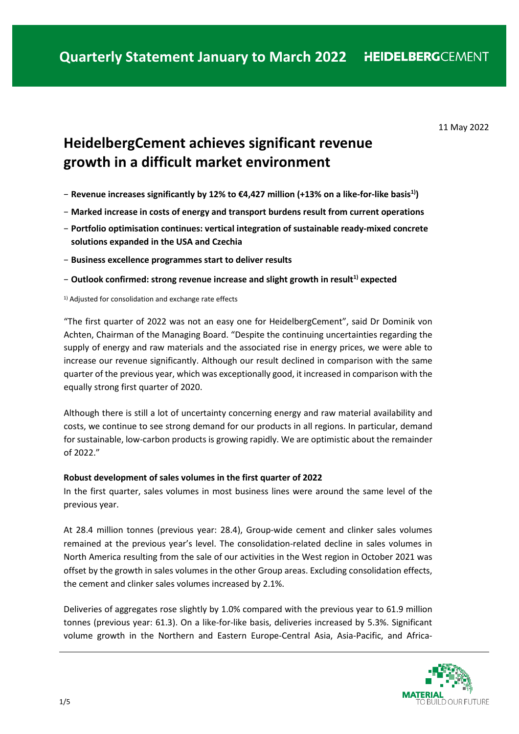11 May 2022

# **HeidelbergCement achieves significant revenue growth in a difficult market environment**

- − **Revenue increases significantly by 12% to €4,427 million (+13% on a like-for-like basis1))**
- − **Marked increase in costs of energy and transport burdens result from current operations**
- − **Portfolio optimisation continues: vertical integration of sustainable ready-mixed concrete solutions expanded in the USA and Czechia**
- − **Business excellence programmes start to deliver results**

# − **Outlook confirmed: strong revenue increase and slight growth in result1) expected**

<sup>1)</sup> Adjusted for consolidation and exchange rate effects

"The first quarter of 2022 was not an easy one for HeidelbergCement", said Dr Dominik von Achten, Chairman of the Managing Board. "Despite the continuing uncertainties regarding the supply of energy and raw materials and the associated rise in energy prices, we were able to increase our revenue significantly. Although our result declined in comparison with the same quarter of the previous year, which was exceptionally good, it increased in comparison with the equally strong first quarter of 2020.

Although there is still a lot of uncertainty concerning energy and raw material availability and costs, we continue to see strong demand for our products in all regions. In particular, demand for sustainable, low-carbon products is growing rapidly. We are optimistic about the remainder of 2022."

# **Robust development of sales volumes in the first quarter of 2022**

In the first quarter, sales volumes in most business lines were around the same level of the previous year.

At 28.4 million tonnes (previous year: 28.4), Group-wide cement and clinker sales volumes remained at the previous year's level. The consolidation-related decline in sales volumes in North America resulting from the sale of our activities in the West region in October 2021 was offset by the growth in sales volumes in the other Group areas. Excluding consolidation effects, the cement and clinker sales volumes increased by 2.1%.

Deliveries of aggregates rose slightly by 1.0% compared with the previous year to 61.9 million tonnes (previous year: 61.3). On a like-for-like basis, deliveries increased by 5.3%. Significant volume growth in the Northern and Eastern Europe-Central Asia, Asia-Pacific, and Africa-

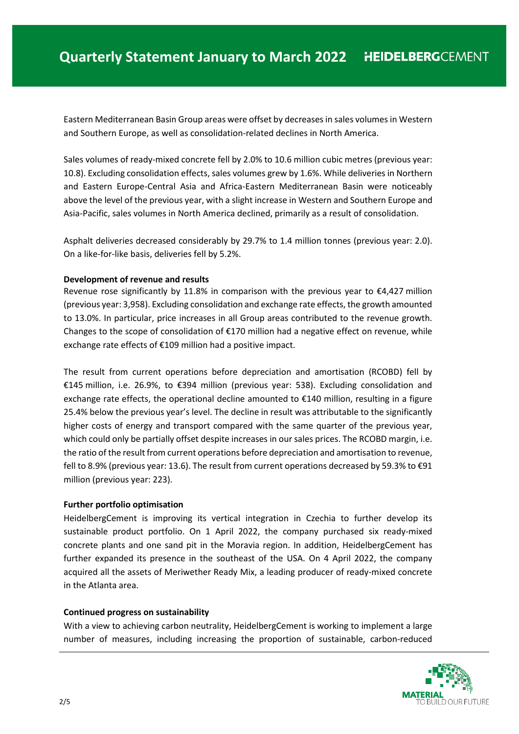Eastern Mediterranean Basin Group areas were offset by decreases in sales volumes in Western and Southern Europe, as well as consolidation-related declines in North America.

Sales volumes of ready-mixed concrete fell by 2.0% to 10.6 million cubic metres (previous year: 10.8). Excluding consolidation effects, sales volumes grew by 1.6%. While deliveries in Northern and Eastern Europe-Central Asia and Africa-Eastern Mediterranean Basin were noticeably above the level of the previous year, with a slight increase in Western and Southern Europe and Asia-Pacific, sales volumes in North America declined, primarily as a result of consolidation.

Asphalt deliveries decreased considerably by 29.7% to 1.4 million tonnes (previous year: 2.0). On a like-for-like basis, deliveries fell by 5.2%.

#### **Development of revenue and results**

Revenue rose significantly by 11.8% in comparison with the previous year to  $\epsilon$ 4,427 million (previous year: 3,958). Excluding consolidation and exchange rate effects, the growth amounted to 13.0%. In particular, price increases in all Group areas contributed to the revenue growth. Changes to the scope of consolidation of €170 million had a negative effect on revenue, while exchange rate effects of €109 million had a positive impact.

The result from current operations before depreciation and amortisation (RCOBD) fell by €145 million, i.e. 26.9%, to €394 million (previous year: 538). Excluding consolidation and exchange rate effects, the operational decline amounted to €140 million, resulting in a figure 25.4% below the previous year's level. The decline in result was attributable to the significantly higher costs of energy and transport compared with the same quarter of the previous year, which could only be partially offset despite increases in our sales prices. The RCOBD margin, i.e. the ratio of the result from current operations before depreciation and amortisation to revenue, fell to 8.9% (previous year: 13.6). The result from current operations decreased by 59.3% to €91 million (previous year: 223).

#### **Further portfolio optimisation**

HeidelbergCement is improving its vertical integration in Czechia to further develop its sustainable product portfolio. On 1 April 2022, the company purchased six ready-mixed concrete plants and one sand pit in the Moravia region. In addition, HeidelbergCement has further expanded its presence in the southeast of the USA. On 4 April 2022, the company acquired all the assets of Meriwether Ready Mix, a leading producer of ready-mixed concrete in the Atlanta area.

# **Continued progress on sustainability**

With a view to achieving carbon neutrality, HeidelbergCement is working to implement a large number of measures, including increasing the proportion of sustainable, carbon-reduced

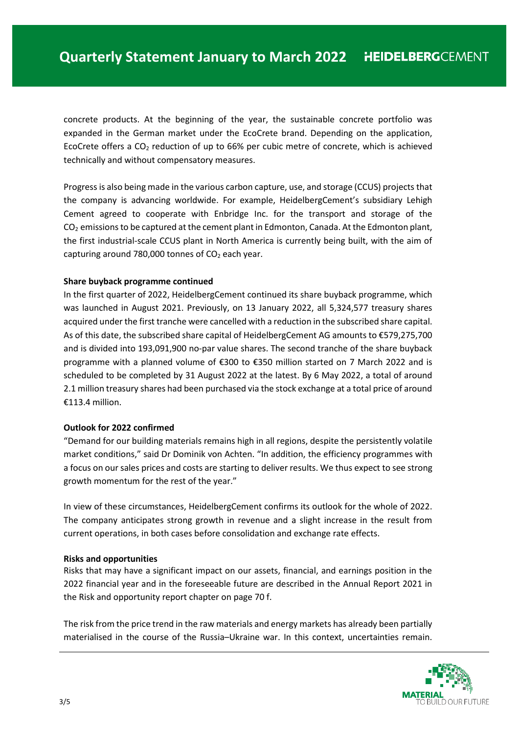concrete products. At the beginning of the year, the sustainable concrete portfolio was expanded in the German market under the EcoCrete brand. Depending on the application, EcoCrete offers a  $CO<sub>2</sub>$  reduction of up to 66% per cubic metre of concrete, which is achieved technically and without compensatory measures.

Progress is also being made in the various carbon capture, use, and storage (CCUS) projects that the company is advancing worldwide. For example, HeidelbergCement's subsidiary Lehigh Cement agreed to cooperate with Enbridge Inc. for the transport and storage of the  $CO<sub>2</sub>$  emissions to be captured at the cement plant in Edmonton, Canada. At the Edmonton plant, the first industrial-scale CCUS plant in North America is currently being built, with the aim of capturing around 780,000 tonnes of  $CO<sub>2</sub>$  each year.

# **Share buyback programme continued**

In the first quarter of 2022, HeidelbergCement continued its share buyback programme, which was launched in August 2021. Previously, on 13 January 2022, all 5,324,577 treasury shares acquired under the first tranche were cancelled with a reduction in the subscribed share capital. As of this date, the subscribed share capital of HeidelbergCement AG amounts to €579,275,700 and is divided into 193,091,900 no-par value shares. The second tranche of the share buyback programme with a planned volume of €300 to €350 million started on 7 March 2022 and is scheduled to be completed by 31 August 2022 at the latest. By 6 May 2022, a total of around 2.1 million treasury shares had been purchased via the stock exchange at a total price of around  $£113.4$  million.

# **Outlook for 2022 confirmed**

"Demand for our building materials remains high in all regions, despite the persistently volatile market conditions," said Dr Dominik von Achten. "In addition, the efficiency programmes with a focus on our sales prices and costs are starting to deliver results. We thus expect to see strong growth momentum for the rest of the year."

In view of these circumstances, HeidelbergCement confirms its outlook for the whole of 2022. The company anticipates strong growth in revenue and a slight increase in the result from current operations, in both cases before consolidation and exchange rate effects.

# **Risks and opportunities**

Risks that may have a significant impact on our assets, financial, and earnings position in the 2022 financial year and in the foreseeable future are described in the Annual Report 2021 in the Risk and opportunity report chapter on page 70 f.

The risk from the price trend in the raw materials and energy markets has already been partially materialised in the course of the Russia–Ukraine war. In this context, uncertainties remain.

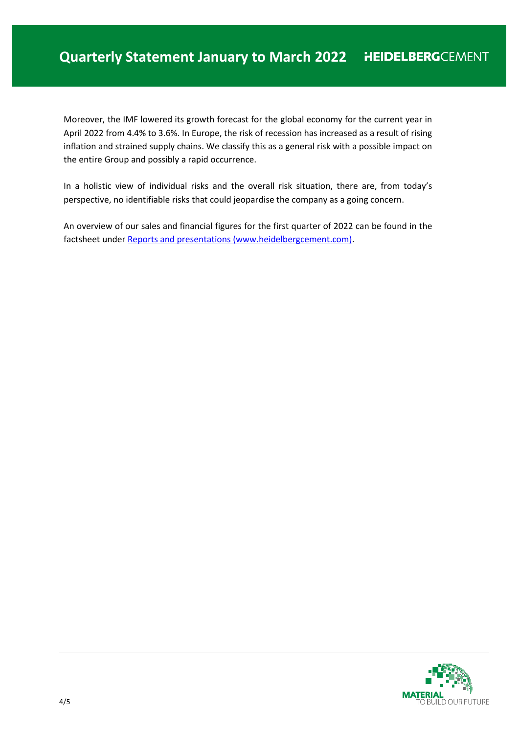Moreover, the IMF lowered its growth forecast for the global economy for the current year in April 2022 from 4.4% to 3.6%. In Europe, the risk of recession has increased as a result of rising inflation and strained supply chains. We classify this as a general risk with a possible impact on the entire Group and possibly a rapid occurrence.

In a holistic view of individual risks and the overall risk situation, there are, from today's perspective, no identifiable risks that could jeopardise the company as a going concern.

An overview of our sales and financial figures for the first quarter of 2022 can be found in the factsheet unde[r Reports and presentations \(www.heidelbergcement.com\).](https://www.heidelbergcement.com/en/reports-and-presentations)